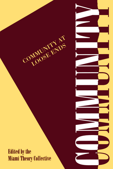**Edited by the Miami Theory Collective** 

COMMUNITY AT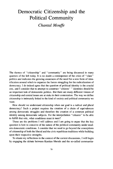# Democratic Citizenship and the Political Community

*Chantal Mouffe*

The themes of "citizenship" and "community" are being discussed in many quarters of the left today. It is no doubt a consequence of the crisis of "class" politics and indicates the growing awareness of the need for a new form of identification around which to organize the forces struggling for the radicalization of democracy. I do indeed agree that the question of political identity is the crucial one, and I consider that to attempt to construct "citizens' " identities should be an important task of democratic politics. But there are many different visions of citizenship and central issues are at stake in their contestation. The way we define citizenship is intimately linked to the kind of society and political community we want.

How should we understand citizenship when our goal is a radical and plural democracy? Such a project requires the creation of a chain of equivalences among democratic struggles and therefore the creation of a common political identity among democratic subjects. For the interpellation "citizens" to be able to fulfill that role, what conditions must it meet?

Those are the problems I will address and I am going to argue that the key question is how to conceive of the nature of the political community under modern democratic conditions. I consider that we need to go beyond the conceptions of citizenship of both the liberal and the civic republican traditions while building upon their respective strengths.

To situate my reflections in the context of the current discussions, I will begin by engaging the debate between Kantian liberals and the so-called communita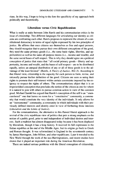rians. In this way, I hope to bring to the fore the specificity of my approach both politically and theoretically.

#### **Liberalism versus Civic Republicanism**

What is really at stake between John Rawls and his communitarian critics is the issue of citizenship. Two different languages for articulating our identity as citizens are confronting each other. Rawls proposes to represent the citizen of a constitutional democracy in terms of equal rights expressed by his two principles of justice. He affirms that once citizens see themselves as free and equal persons, they should recognize that to pursue their own different conceptions of the good, they need the same primary goods (i.e., the same basic rights, liberties, and opportunities) as well as the same all-purpose means (i.e., income and wealth), and the same social bases of self-respect. This is why they should agree on a political conception of justice that states that "all social primary goods—liberty and opportunity, income and wealth, and the bases of self-respect—are to be distributed equally, unless an unequal distribution of any or all of these goods is to the advantage of the least favored" (Rawls, *A Theory of Justice,* 302-3). According to that liberal view, citizenship is the capacity for each person to form, revise, and rationally pursue his/her definition of the good. Citizens are seen as using their rights to promote their self-interest within certain constraints imposed by the exigency to respect the rights of others. The communitarians object that it is an impoverished conception that precludes the notion of the citizen as one for whom it is natural to join with others to pursue common action in view of the common good. Michael Sandel has argued that Rawls's conception of the self is an "unencumbered" one that leaves no room for a "constitutive" community, a community that would constitute the very identity of the individuals. It only allows for an "instrumental" community, a community in which individuals with their previously defined interests and identity enter in view of furthering those interests *(Liberalism and the Limits of Justice).*

For the communitarians, the alternative to this flawed liberal approach is the revival of the civic republican view of politics that puts a strong emphasis on the notion of a public good, prior to and independent of individual desires and interests. Such a tradition has almost disappeared today because it has been displaced by liberalism, though it has a long history. It received its full expression in the Italian republics at the end of the Middle Ages, but its origins go back to Greek and Roman thought. It was reformulated in England in the seventeenth century by James Harrington, John Milton, and other republicans. Later it traveled to the New World through the work of the neo-Harringtonians, and recent studies have shown that it played an important role during the American Revolution.

There are indeed serious problems with the liberal conception of citizenship,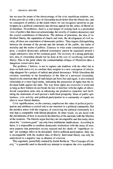but we must be aware of the shortcomings of the civic republican solution, too. It does provide us with a view of citizenship much richer than the liberal one, and its conception of politics as the realm where we can recognize ourselves as participants in a political community has obvious appeal for the critics of liberal individualism. Nevertheless, there is a real danger of coming back to a premodern view of politics that does not acknowledge the novelty of modern democracy and the crucial contribution of liberalism. The defense of pluralism, the idea of individual liberty, the separation of church and state, the development of civil society, all these are constitutive of democratic politics. They require distinguishing between the domain of the private and the domain of the public, the realm of morality and the realm of politics. Contrary to what some communitarians propose, a modern democratic political community cannot be organized around a single substantive idea of the common good. The recovery of a strong participatory idea of citizenship should not be done at the cost of sacrificing individual liberty. This is the point where the communitarian critique of liberalism takes a dangerous conservative turn.

The problem, I believe, is not to replace one tradition with the other but to draw on both and to try to combine their insights in a new conception of citizenship adequate for a project of radical and plural democracy. While liberalism did certainly contribute to the formulation of the idea of a universal citizenship, based on the assertion that all individuals are born free and equal, it also reduced citizenship to a mere legal status, indicating the possession of rights that the individual holds against the state. The way those rights are exercised is irrelevant as long as their holders do not break the law or interfere with the rights of others. Social cooperation aims only at enhancing our productive capacities and facilitating the attainment of each person's individual prosperity. Ideas of public-spiritedness, civic activity, and political participation in a community of equals are alien to most liberal thinkers.

Civic republicanism, on the contrary, emphasizes the value of political participation and attributes a central role to our insertion in a political community. But the problem arises with the exigency of conceiving the political community in a way that is compatible with liberal pluralism. In other words, we are faced with the old dilemma of how to reconcile the liberties of the ancients with the liberties of the moderns. The liberals argue that they are incompatible and that today ideas about the "common good" can only have totalitarian implications. According to them, it is impossible to combine democratic institutions with the sense of common purpose that premodern society enjoyed and the ideals of "republican virtue" are nostalgic relics to be discarded. Active political participation, they say, is incompatible with the modern idea of liberty. Individual liberty can only be understood in a negative way as absence of coercion.

This argument, powerfully restated by Isaiah Berlin in "Two Concepts of Liberty," is generally used to discredit any attempt to recapture the civic republican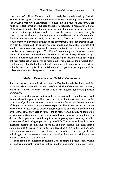conception of politics. However, it has recently been challenged by Quentin Skinner, who argues that there is no basic or necessary incompatibility between the classical republican conception of citizenship and modern democracy. He finds in several forms of republican thought, particularly in Machiavelli, a way of conceiving liberty that though negative —and therefore modern—includes, however, political participation and civic virtue. It is negative because liberty is conceived as the absence of impediments to the realization of our chosen ends. But it also asserts that it is only as citizens of a "free state," of a community whose members participate actively in the government, that such individual liberty can be guaranteed. To ensure our own liberty and avoid the servitude that would render its exercise impossible, we must cultivate civic virtues and devote ourselves to the common good. The idea of a common good above our private interest is a necessary condition for enjoying individual liberty. Skinner's argument is important because it refutes the liberals' claim that individual liberty and political participation can never be reconciled. This is crucial for a radical democratic project, but the kind of political community adequate for such an articulation between the rights of the individual and the political participation of the citizen then becomes the question to be envisaged.

### **Modern Democracy and Political Community**

Another way to approach the debate between Kantian liberals like Rawls and the communitarians is through the question of the priority of the right over the good, which has a direct relevance for the issue of the modern democratic political community.

For Rawls, such a priority indicates that individual rights cannot be sacrificed for the sake of the general welfare, as is the case with utilitarianism, and that the principles of justice impose restrictions on what are the permissible conceptions of the good that individuals are allowed to pursue. This is why he insists that the principles of justice must be derived independently of any particular conception of the good, since they need to respect the existence of a plurality of competing conceptions of the good in order to be accepted by all citizens. His aim here is to defend liberal pluralism, which requires not imposing upon men any specific conception of well-being or particular plan of life. Those are for liberals private questions bearing on individual morality, and they believe that each person should be able to organize his or her life according to his or her own wishes, without unnecessary interferences. Hence the centrality of the concept of individual rights and the assertion that principles of justice must not privilege a particular conception of the good life.

I consider this an important principle that needs defending because it is crucial for modern democratic societies. Indeed, modern democracy is precisely char-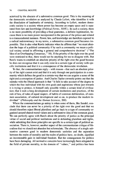acterized by the absence of a substantive common good. This is the meaning of the democratic revolution as analyzed by Claude Lefort, who identifies it with the dissolution of landmarks of certainty. According to Lefort, modern democratic society is a society where power has become an empty space and is separated from law and knowledge *(Political Forms,* 305ff.). In such a society, there is no more possibility of providing a final guarantee, a definite legitimation, because there is no more power incorporated in the person of the prince and related to a transcendental instance. Power, law, and knowledge are therefore exposed to a radical indeterminacy: in my terms, a substantive common good becomes impossible. This is also what Rawls indicates when he affirms that "we must abandon the hope of a political community if by such a community we mean a political society united in affirming a general and comprehensive doctrine" ("The Idea of an Overlapping Consensus," 10). If the priority of the right over the good were restricted to that, there would not be anything for me to disagree with. But Rawls wants to establish an absolute priority of the right over the good because he does not recognize that it can only exist in a certain type of society with specific institutions and that it is a consequence of the democratic revolution.

To that, the communitarians reply — with reason — that such an absolute priority of the right cannot exist and that it is only through our participation in a community which defines the good in a certain way that we can acquire a sense of the right and a conception of justice. And Charles Taylor correctly points out that the mistake with the liberal approach is that "it fails to take account of the degree to which the free individual with his own goals and aspirations whose just rewards it is trying to protect, is himself only possible within a certain kind of civilization; that it took a long development of certain institutions and practices, of the rule of law, of rules of equal respect, of habits of common deliberation, of common association, of cultural development and so on, to produce the modern individual" *(Philosophy and the Human Sciences,* 200).

Where the communitarians go astray is when some of them, like Sandel, conclude that there can never be a priority of the right over the good and that we should therefore reject liberal pluralism and go back to a type of community organized around shared moral values and a substantive idea of the common good. We can perfectly agree with Rawls about the priority of justice as the principal virtue of social and political institutions and in defending pluralism and rights, while admitting that those principles are specific to a certain type of political association. There is, however, another aspect of the communitarian critique of liberalism that we should not abandon but reformulate. The absence of a single substantive common good in modern democratic societies and the separation between the realm of morality and the realm of politics have, no doubt, signified an incontestable gain in individual freedom. But the consequences for politics have been damaging. All normative concerns have increasingly been relegated to the field of private morality, to the domain of "values," and politics has been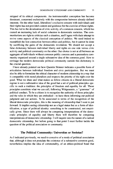stripped of its ethical components. An instrumentalist conception has become dominant, concerned exclusively with the compromise between already defined interests. On the other hand, liberalism's exclusive concern with individuals and their rights has not provided content and guidance for the exercise of those rights. This has led to the devaluation of civic activity, of a common concern, which has caused an increasing lack of social cohesion in democratic societies. The communitarians are right to criticize such a situation, and I agree with their attempt to revive some aspects of the classical conception of politics. We need indeed to reestablish the lost connection between ethics and politics, but it cannot be done by sacrificing the gains of the democratic revolution. We should not accept a false dichotomy between individual liberty and rights on one side versus civic activity and political community on the other. Our choice is not at all between an aggregate of individuals without common public concern and a premodern community organized around a single substantive idea of the common good. How to envisage the modern democratic political community outside this dichotomy is the crucial question.

I have already pointed out how Quentin Skinner indicates a possible form of articulation between individual freedom and civic participation. But we must also be able to formulate the ethical character of modern citizenship in a way that is compatible with moral pluralism and respects the priority of the right over the good. What we share and what makes us fellow citizens in a liberal democratic regime is not a substantive idea of the good but a set of political principles specific to such a tradition: the principles of freedom and equality for all. Those principles constitute what we can call, following Wittgenstein, a "grammar" of political conduct. To be a citizen is to recognize the authority of those principles and the rules in which they are embodied—to have them informing our political judgment and our actions. To be associated in terms of the recognition of the liberal democratic principles, this is the meaning of citizenship that I want to put forward. It implies seeing citizenship not as a legal status but as a form of identification, a type of political identity: something to be constructed, not empirically given. Since there will always be competing interpretations of the democratic principles of equality and liberty there will therefore be competing interpretations of democratic citizenship. I will inquire into the nature of a radical democratic citizenship, but before going to that point I must further tackle the question of the political association or community.

## **The Political Community: Universitas or Societas?**

As I indicated previously, we need to conceive of a mode of political association that, although it does not postulate the existence of a substantive common good, nevertheless implies the idea of commonality, of an ethico-political bond that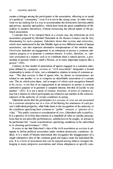creates a linkage among the participants in the association, allowing us to speak of a political "community" even if it is not in the strong sense. In other words, what we are looking for is a way to accommodate the distinctions between public and private, morality and politics, which have been the great contribution of liberalism to modern democracy, without renouncing the ethical nature of the political association.

I consider that, if we interpret them in a certain way, the reflections on civil association proposed by Michael Oakeshott in *On Human Conduct* can be very illuminating for such a purpose. Oakeshott shows that *societas* and *universitas,* which were understood in the late Middle Ages as two different modes of human association, can also represent alternative interpretations of the modern state. *Universitas* indicates an engagement in an enterprise to pursue a common substantive purpose or to promote a common interest. It refers, therefore, to "persons associated in a manner such as to constitute them a natural person, a partnership of persons which is itself a Person, or in some important respects like a person" (203).

Contrary to that model of association of agents engaged in a common enterprise defined by a purpose, *societas* or "civil association" designates a formal relationship in terms of rules, not a substantive relation in terms of common action. "The idea *societas* is that of agents who, by choice or circumstance, are related to one another so as to compose an identifiable association of a certain sort. The tie which joins them, and in respect of which each recognizes himself to be *socius,* is not that of an engagement in an enterprise to pursue a common substantive purpose or to promote a common interest, but that of loyalty to one another" (201). It is not a mode of relation, therefore, in terms of common action but a relation in which participants are related to one another in the acknowledgment of the authority of certain conditions in acting.

Oakeshott insists that the participants in a *societas* or *cives* are not associated for a common enterprise nor in a view of facilitating the attainment of each person's individual prosperity; what links them is the recognition of the authority of the conditions specifying their common or "public" concern, a "practice of civility." This public concern or consideration of *cives,* Oakeshott calls *respublica.* It is a practice of civility that consists in a manifold of rules or rulelike prescriptions that do not prescribe performances, satisfactions to be sought, or actions to be performed but "moral considerations specifying conditions to be subscribed to in choosing performances" (182).

It seems to me that Oakeshott's idea of the civil association as *societas* is adequate to define political association under modern democratic conditions. Indeed, it is a mode of human association that recognizes the disappearance of a single substantive idea of the common good and makes room for individual liberty. It is a form of association that can be enjoyed among relative strangers belonging to many purposive associations and whose allegiances to specific com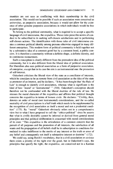munities are not seen as conflicting with their membership in the civil association. This would not be possible if such an association were conceived as *universitas,* as purposive association, because it would not allow for the existence of other genuine purposive associations in which individuals would be free to participate.

To belong to the political community, what is required is to accept a specific language of civil intercourse, the *respublica.* Those rules prescribe norms of conduct to be subscribed to in seeking self-chosen satisfactions and in performing self-chosen actions. The identification with those rules of civil intercourse creates a common political identity among persons otherwise engaged in many different enterprises. This modern form of political community is held together not by a substantive idea of a common good but by a common bond, a public concern. It is therefore a community without a definite shape, a definite identity, and in continuous reenactment.

Such a conception is clearly different from the premodern idea of the political community, but it is also different from the liberal idea of political association. For liberalism also sees political association as a form of purposive association, of enterprise, except that in its case the aim is an instrumental one: the promotion of self-interest.

Oakeshott criticizes the liberal view of the state as a conciliator of interests, which he considers to be as remote from civil association as the idea of the state as promoter of an interest, and he declares, "It has been thought that 'the Rule of Law' is enough to identify civil association, whereas what is significant is the kind of law: 'moral' or 'instrumental' " (318). Oakeshott's conception should therefore not be confounded with the liberal doctrine of the rule of law. He stresses the moral character of the *respublica* and affirms that political thought concerns the *respublica* in terms of *bonum civile.* He declares: "Civility, then, denotes an order of moral (not instrumental) considerations, and the so-called neutrality of civil prescriptions is a half truth which needs to be supplemented by the recognition of civil association as itself a moral and not a prudential condition" (175). By "moral" Oakeshott obviously refers not to a comprehensive view but to what I have proposed to call the "ethico-political" since he asserts that what is civilly desirable cannot be inferred or derived from general moral principles and that political deliberation is concerned with moral considerations of its own: "This *respublica* is the articulation of a common concern that the pursuit of all purposes and the promotion of all interests, the satisfaction of all wants and the propagation of all beliefs shall be in subscription to conditions formulated in rules indifferent to the merits of any interest or the truth or error of any belief and consequently not itself a substantive interest or doctrine" (172).

We could say, using Rawls's vocabulary, that in a civil association or *societas* there exists a priority of the right over the good, but in Oakeshott's case, the principles that specify the right, the *respublica,* are conceived not in a Kantian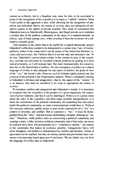manner as in Rawls, but in a Hegelian way, since for him, to be associated in terms of the recognition of the *respublica* is to enjoy a "sittlich" relation. What I find useful in this approach is that, while allowing for the recognition of pluralism and individual liberty, the notion of *societas* does not relinquish all normative aspects to the sphere of private morality. This mode of association that Oakeshott traces to Machiavelli, Montesquieu, and Hegel permits us to maintain a certain idea of the political community in the sense of a noninstrumental, an ethical, type of bond among *cives,* while severing it from the existence of a substantive common good.

I did mention at the outset that to be useful for a radical democratic project Oakeshott's reflections needed to be interpreted in a certain way. I am, of course, perfectly aware of the conservative use he makes of the distinction between *societas* and *universitas,* but I believe that it is not the only and necessary one. To be sure, Oakeshott's conservatism resides in the content he puts in the *respublica,* and that can obviously be remedied without problems by putting in it more radical principles, as I will indicate later. But more fundamentally, his conservatism lies in his flawed idea of politics. For his conception of politics as a shared language of civility is only adequate for one aspect of politics: the point of view of the "we," the friend's side. However, as Carl Schmitt rightly pointed out, the criterion of the political is the friend/enemy relation. What is completely missing in Oakeshott is division and antagonism—that is, the aspect of the "enemy." It is an absence that must be remedied if we want to appropriate his notion of *societas.*

To introduce conflict and antagonism into Oakeshott's model, it is necessary to recognize that the *respublica* is the product of a given hegemony, the expression of power relations, and that it can be challenged. Politics is to a great extent about the rules of the *respublica* and their many possible interpretations; it is about the constitution of the political community, not something that takes place inside the political community, as some communitarians would have it. Political life concerns collective, public action; it aims at the construction of a "we" in a context of diversity and conflict. But to construct a "we," it must be distinguished from the "they" and that means establishing a frontier, defining an "enemy." Therefore, while politics aims at constructing a political community and creating a unity, a fully inclusive political community and a final unity can never be realized since there will permanently be a "constitutive outside," an exterior to the community that makes its existence possible. Antagonistic forces will never disappear, and politics is characterized by conflict and division. Forms of agreement can be reached, but they are always partial and provisional since consensus is by necessity based upon acts of exclusion. We are indeed very far from the language of civility dear to Oakeshott!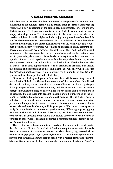### **A Radical Democratic Citizenship**

What becomes of the idea of citizenship in such a perspective? If we understand citizenship as the political identity that is created through identification with the *respublica,* a new conception of the citizen becomes possible. First, we are now dealing with a type of political identity, a form of identification, and no longer simply with a legal status. The citizen is not, as in liberalism, someone who is the passive recipient of specific rights and who enjoys the protection of the law. It is not that those elements become irrelevant, but the definition of the citizen shifts because the emphasis is put on the identification with the *respublica.* It is a common political identity of persons who might be engaged in many different purposive enterprises and with differing conceptions of the good, but who accept submission to the rules prescribed by the *respublica* in seeking their satisfactions and in performing their actions. What binds them together is their common recognition of a set of ethico-political values. In this case, citizenship is not just one identity among others —as in liberalism—or the dominant identity that overrides all others—as in civic republicanism. It is an articulating principle that affects the different subject positions of the social agent (as I will show when I discuss the distinction public/private) while allowing for a plurality of specific allegiances and for the respect of individual liberty.

Since we are dealing with politics, however, there will be competing forms of identification linked to different interpretations of the *respublica.* In a liberal democratic regime, we can conceive of the *respublica* as constituted by the political principles of such a regime: equality and liberty for all. If we put such a content into Oakeshott's notion of *respublica* we can affirm that the conditions to be subscribed to and taken into account in acting are to be understood as the exigency of treating the others as free and equal persons. This is clearly open to potentially very radical interpretations. For instance, a radical democratic interpretation will emphasize the numerous social relations where relations of domination exist and must be challenged if the principles of liberty and equality are to apply. It should lead to a common recognition among different groups struggling for an extension and radicalization of democracy that they have a common concern and that in choosing their actions they should subscribe to certain rules of conduct; in other words, it should construct a common political identity as radical democratic citizens.

The creation of political identities as radical democratic citizens depends, therefore, on a collective form of identification among the democratic demands found in a variety of movements: women, workers, black, gay, ecological, as well as in several other "new social movements." This is a conception of citizenship that through a common identification with a radical democratic interpretation of the principles of liberty and equality aims at constructing a "we," a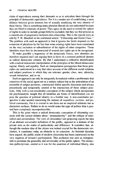chain of equivalence among their demands so as to articulate them through the principle of democratic equivalence. For it is a matter not of establishing a mere alliance between given interests but of actually modifying the very identity of these forces. This is something many pluralist liberals do not understand because they are blind to relations of power. They agree on the need to extend the sphere of rights in order to include groups hitherto excluded, but they see that process as a smooth one of progressive inclusion into citizenship. This is the typical story as told by T. H. Marshall in his celebrated article "Citizenship and Social Class." The problem with such an approach is that it ignores the limits imposed on the extension of pluralism by the fact that some existing rights have been constituted on the very exclusion or subordination of the rights of other categories. Those identities must first be deconstructed if several new rights are to be recognized.

To make possible a hegemony of the democratic forces, new identities are therefore required and I am arguing here in favor of a common political identity as radical democratic citizens. By that I understand a collective identification with a radical democratic interpretation of the principles of the liberal-democratic regime: liberty and equality. Such an interpretation presupposes that those principles are understood in a way that takes account of the different social relations and subject positions in which they are relevant: gender, class, race, ethnicity, sexual orientation, and so on.

Such an approach can only be adequately formulated within a problematic that conceives of the social agent not as a unitary subject but as the articulation of an ensemble of subject positions, constructed within specific discourses and always precariously and temporarily sutured at the intersection of those subject positions. Only with a non-essentialist conception of the subject which incorporates the psychoanalytic insight that all identities are forms of identification can we pose the question of political identity in a fruitful way. A non-essentialist perspective is also needed concerning the notions of *respublica, societas,* and political community. For it is crucial to see them not as empirical referents but as discursive surfaces. Failure to do so would make the type of politics that is posited here completely incomprehensible.

This is the point where a radical democratic conception of citizenship connects with the current debates about "postmodernity" and the critique of rationalism and universalism. The view of citizenship I am proposing rejects the idea of an abstract universalist definition of the public, opposed to a domain of the private seen as the realm of particularity and difference. It considers that, although the modern idea of the citizen was indeed crucial for the democratic revolution, it constitutes today an obstacle to its extension. As feminist theorists have argued, the public realm of modern citizenship has been constructed on the very negation of women's participation. This exclusion was seen as indispensable to postulate the generality and universality of the public sphere. The distinction public/private, central as it was for the assertion of individual liberty, also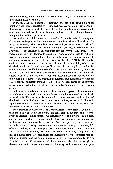led to identifying the private with the domestic and played an important role in the subordination of women.

To the idea that the exercise of citizenship consists in adopting a universal point of view, made equivalent to Reason and reserved for men, I am opposing the idea that it consists in identifying with the ethico-political principles of modern democracy and that there can be as many forms of citizenship as there are interpretations of those principles.

In this view, the public/private is not abandoned but reformulated. Here again, Oakeshott can help us to find an alternative to the limitations of liberalism. *Societas* is, according to him, a civil condition in which every enterprise is "private'' while never immune from the "public" conditions specified in *respublica*. In a *societas,* "every situation is an encounter between 'private' and 'public,' between an action or an utterance to procure an imagined and wished-for substantive satisfaction and the conditions of civility to be subscribed to in performing it; and no situation is the one to the exclusion of the other" (183). The wants, choices, and decisions are private because they are the responsibility of each individual, but the performances are public because they are required to subscribe to the conditions specified in the *respublica.* Since the rules of the *respublica* do not enjoin, prohibit, or warrant substantive actions or utterances, and do not tell agents what to do, this mode of association respects individual liberty. But the individual's belonging to the political community and identification with its ethico-political principles are manifested by his or her acceptance of the common concern expressed in the *respublica*. It provides the "grammar" of the citizen's conduct.

In the case of a radical democratic citizen, such an approach allows us to envision how a concern with equality and liberty should inform one's actions in all areas of social life. No sphere is immune from those concerns, and relations of domination can be challenged everywhere. Nevertheless, we are not dealing with a purposive kind of community affirming one single goal for all its members, and the freedom of the individual is preserved.

The distinction between private (individual liberty) and public *(respublica)* is maintained as well as the distinction individual/citizen, but they do not correspond to discrete separate spheres. We cannot say: here end my duties as a citizen and begin my freedoms as an individual. Those two identities exist in a permanent tension that can never be reconciled. But this is precisely the tension between liberty and equality that characterizes modern democracy. It is the very life of such a regime, and any attempt to bring about a perfect harmony, to realize a "true" democracy, can only lead to its destruction. This is why a project of radical and plural democracy recognizes the impossibility of the complete realization of democracy and the final achievement of the political community. Its aim is to use the symbolic resources of the liberal democratic tradition to struggle for the deepening of the democratic revolution, knowing that it is a never-ending pro